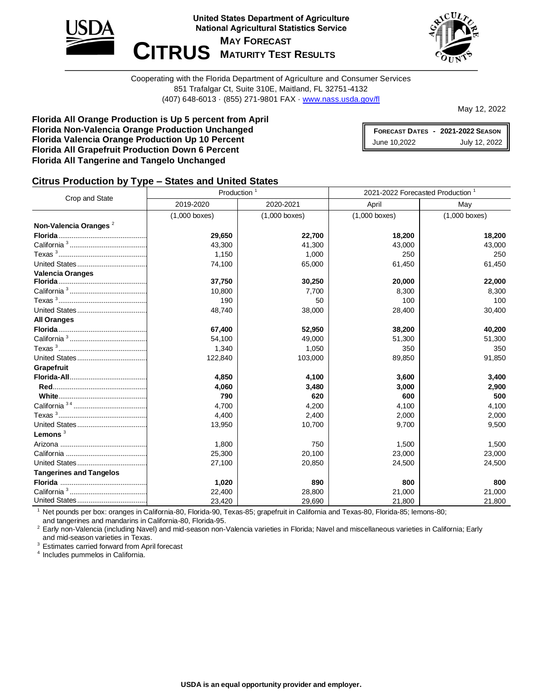



Cooperating with the Florida Department of Agriculture and Consumer Services 851 Trafalgar Ct, Suite 310E, Maitland, FL 32751-4132 (407) 648-6013 · (855) 271-9801 FAX · [www.nass.usda.gov/fl](http://www.nass.usda.gov/fl)

May 12, 2022

**Florida All Orange Production is Up 5 percent from April Florida Non-Valencia Orange Production Unchanged Florida Valencia Orange Production Up 10 Percent Florida All Grapefruit Production Down 6 Percent Florida All Tangerine and Tangelo Unchanged**

**FORECAST DATES - 2021-2022 SEASON** June 10,2022 July 12, 2022

#### **Citrus Production by Type – States and United States**

|                                   | Production <sup>1</sup> |                 | 2021-2022 Forecasted Production <sup>1</sup> |                 |  |  |
|-----------------------------------|-------------------------|-----------------|----------------------------------------------|-----------------|--|--|
| Crop and State                    | 2019-2020               | 2020-2021       | April                                        | May             |  |  |
|                                   | $(1,000$ boxes)         | $(1,000$ boxes) | $(1,000$ boxes)                              | $(1,000$ boxes) |  |  |
| Non-Valencia Oranges <sup>2</sup> |                         |                 |                                              |                 |  |  |
|                                   | 29,650                  | 22,700          | 18,200                                       | 18,200          |  |  |
|                                   | 43,300                  | 41,300          | 43,000                                       | 43,000          |  |  |
|                                   | 1,150                   | 1,000           | 250                                          | 250             |  |  |
|                                   | 74,100                  | 65,000          | 61,450                                       | 61,450          |  |  |
| <b>Valencia Oranges</b>           |                         |                 |                                              |                 |  |  |
|                                   | 37,750                  | 30,250          | 20,000                                       | 22,000          |  |  |
|                                   | 10,800                  | 7,700           | 8,300                                        | 8,300           |  |  |
|                                   | 190                     | 50              | 100                                          | 100             |  |  |
|                                   | 48,740                  | 38,000          | 28,400                                       | 30,400          |  |  |
| <b>All Oranges</b>                |                         |                 |                                              |                 |  |  |
|                                   | 67,400                  | 52,950          | 38,200                                       | 40,200          |  |  |
|                                   | 54,100                  | 49,000          | 51,300                                       | 51,300          |  |  |
|                                   | 1,340                   | 1,050           | 350                                          | 350             |  |  |
|                                   | 122,840                 | 103,000         | 89,850                                       | 91,850          |  |  |
| Grapefruit                        |                         |                 |                                              |                 |  |  |
|                                   | 4,850                   | 4,100           | 3,600                                        | 3,400           |  |  |
|                                   | 4,060                   | 3,480           | 3,000                                        | 2,900           |  |  |
|                                   | 790                     | 620             | 600                                          | 500             |  |  |
|                                   | 4.700                   | 4,200           | 4.100                                        | 4,100           |  |  |
|                                   | 4,400                   | 2,400           | 2,000                                        | 2,000           |  |  |
|                                   | 13,950                  | 10,700          | 9,700                                        | 9,500           |  |  |
| Lemons $3$                        |                         |                 |                                              |                 |  |  |
|                                   | 1,800                   | 750             | 1,500                                        | 1,500           |  |  |
|                                   | 25,300                  | 20,100          | 23,000                                       | 23,000          |  |  |
|                                   | 27,100                  | 20,850          | 24,500                                       | 24,500          |  |  |
| <b>Tangerines and Tangelos</b>    |                         |                 |                                              |                 |  |  |
|                                   | 1,020                   | 890             | 800                                          | 800             |  |  |
|                                   | 22,400                  | 28,800          | 21,000                                       | 21,000          |  |  |
|                                   | 23,420                  | 29,690          | 21,800                                       | 21,800          |  |  |

<sup>1</sup> Net pounds per box: oranges in California-80, Florida-90, Texas-85; grapefruit in California and Texas-80, Florida-85; lemons-80; and tangerines and mandarins in California-80, Florida-95.

<sup>2</sup> Early non-Valencia (including Navel) and mid-season non-Valencia varieties in Florida; Navel and miscellaneous varieties in California; Early and mid-season varieties in Texas.

<sup>3</sup> Estimates carried forward from April forecast

4 Includes pummelos in California.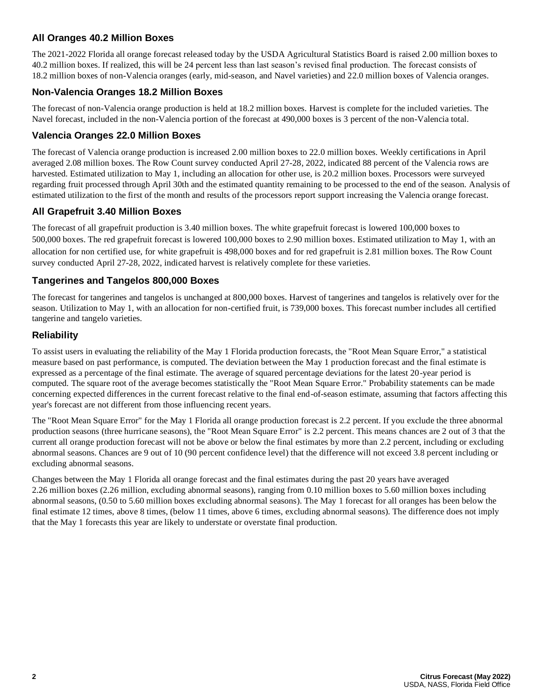### **All Oranges 40.2 Million Boxes**

The 2021-2022 Florida all orange forecast released today by the USDA Agricultural Statistics Board is raised 2.00 million boxes to 40.2 million boxes. If realized, this will be 24 percent less than last season's revised final production. The forecast consists of 18.2 million boxes of non-Valencia oranges (early, mid-season, and Navel varieties) and 22.0 million boxes of Valencia oranges.

### **Non-Valencia Oranges 18.2 Million Boxes**

The forecast of non-Valencia orange production is held at 18.2 million boxes. Harvest is complete for the included varieties. The Navel forecast, included in the non-Valencia portion of the forecast at 490,000 boxes is 3 percent of the non-Valencia total.

#### **Valencia Oranges 22.0 Million Boxes**

The forecast of Valencia orange production is increased 2.00 million boxes to 22.0 million boxes. Weekly certifications in April averaged 2.08 million boxes. The Row Count survey conducted April 27-28, 2022, indicated 88 percent of the Valencia rows are harvested. Estimated utilization to May 1, including an allocation for other use, is 20.2 million boxes. Processors were surveyed regarding fruit processed through April 30th and the estimated quantity remaining to be processed to the end of the season. Analysis of estimated utilization to the first of the month and results of the processors report support increasing the Valencia orange forecast.

#### **All Grapefruit 3.40 Million Boxes**

The forecast of all grapefruit production is 3.40 million boxes. The white grapefruit forecast is lowered 100,000 boxes to 500,000 boxes. The red grapefruit forecast is lowered 100,000 boxes to 2.90 million boxes. Estimated utilization to May 1, with an allocation for non certified use, for white grapefruit is 498,000 boxes and for red grapefruit is 2.81 million boxes. The Row Count survey conducted April 27-28, 2022, indicated harvest is relatively complete for these varieties.

#### **Tangerines and Tangelos 800,000 Boxes**

The forecast for tangerines and tangelos is unchanged at 800,000 boxes. Harvest of tangerines and tangelos is relatively over for the season. Utilization to May 1, with an allocation for non-certified fruit, is 739,000 boxes. This forecast number includes all certified tangerine and tangelo varieties.

#### **Reliability**

To assist users in evaluating the reliability of the May 1 Florida production forecasts, the "Root Mean Square Error," a statistical measure based on past performance, is computed. The deviation between the May 1 production forecast and the final estimate is expressed as a percentage of the final estimate. The average of squared percentage deviations for the latest 20-year period is computed. The square root of the average becomes statistically the "Root Mean Square Error." Probability statements can be made concerning expected differences in the current forecast relative to the final end-of-season estimate, assuming that factors affecting this year's forecast are not different from those influencing recent years.

The "Root Mean Square Error" for the May 1 Florida all orange production forecast is 2.2 percent. If you exclude the three abnormal production seasons (three hurricane seasons), the "Root Mean Square Error" is 2.2 percent. This means chances are 2 out of 3 that the current all orange production forecast will not be above or below the final estimates by more than 2.2 percent, including or excluding abnormal seasons. Chances are 9 out of 10 (90 percent confidence level) that the difference will not exceed 3.8 percent including or excluding abnormal seasons.

Changes between the May 1 Florida all orange forecast and the final estimates during the past 20 years have averaged 2.26 million boxes (2.26 million, excluding abnormal seasons), ranging from 0.10 million boxes to 5.60 million boxes including abnormal seasons, (0.50 to 5.60 million boxes excluding abnormal seasons). The May 1 forecast for all oranges has been below the final estimate 12 times, above 8 times, (below 11 times, above 6 times, excluding abnormal seasons). The difference does not imply that the May 1 forecasts this year are likely to understate or overstate final production.